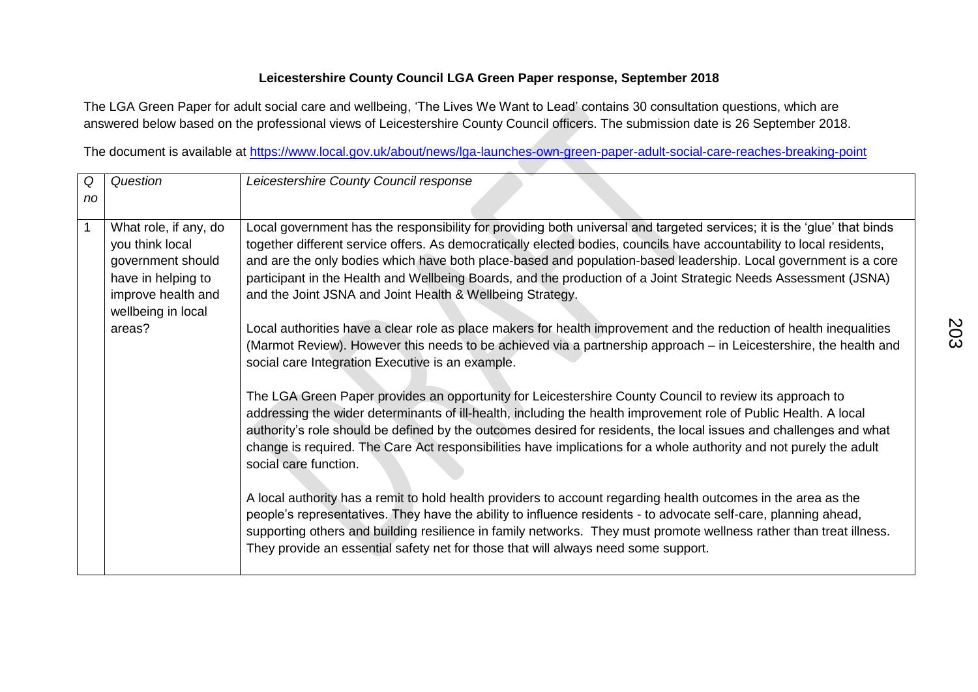## **Leicestershire County Council LGA Green Paper response, September 2018**

The LGA Green Paper for adult social care and wellbeing, 'The Lives We Want to Lead' contains 30 consultation questions, which are answered below based on the professional views of Leicestershire County Council officers. The submission date is 26 September 2018.

The document is available at<https://www.local.gov.uk/about/news/lga-launches-own-green-paper-adult-social-care-reaches-breaking-point>

| Q  | Question                                                                                                                                  | Leicestershire County Council response                                                                                                                                                                                                                                                                                                                                                                                                                                                                                                                                                                                                                                                                                                                                                                                                                                                                                                                                                                                                                                                                                                                                                                                                                                                                                                                                                                                                                                                                                                                                                                                                                                                                                                                                                                    |
|----|-------------------------------------------------------------------------------------------------------------------------------------------|-----------------------------------------------------------------------------------------------------------------------------------------------------------------------------------------------------------------------------------------------------------------------------------------------------------------------------------------------------------------------------------------------------------------------------------------------------------------------------------------------------------------------------------------------------------------------------------------------------------------------------------------------------------------------------------------------------------------------------------------------------------------------------------------------------------------------------------------------------------------------------------------------------------------------------------------------------------------------------------------------------------------------------------------------------------------------------------------------------------------------------------------------------------------------------------------------------------------------------------------------------------------------------------------------------------------------------------------------------------------------------------------------------------------------------------------------------------------------------------------------------------------------------------------------------------------------------------------------------------------------------------------------------------------------------------------------------------------------------------------------------------------------------------------------------------|
| no |                                                                                                                                           |                                                                                                                                                                                                                                                                                                                                                                                                                                                                                                                                                                                                                                                                                                                                                                                                                                                                                                                                                                                                                                                                                                                                                                                                                                                                                                                                                                                                                                                                                                                                                                                                                                                                                                                                                                                                           |
|    | What role, if any, do<br>you think local<br>government should<br>have in helping to<br>improve health and<br>wellbeing in local<br>areas? | Local government has the responsibility for providing both universal and targeted services; it is the 'glue' that binds<br>together different service offers. As democratically elected bodies, councils have accountability to local residents,<br>and are the only bodies which have both place-based and population-based leadership. Local government is a core<br>participant in the Health and Wellbeing Boards, and the production of a Joint Strategic Needs Assessment (JSNA)<br>and the Joint JSNA and Joint Health & Wellbeing Strategy.<br>Local authorities have a clear role as place makers for health improvement and the reduction of health inequalities<br>(Marmot Review). However this needs to be achieved via a partnership approach – in Leicestershire, the health and<br>social care Integration Executive is an example.<br>The LGA Green Paper provides an opportunity for Leicestershire County Council to review its approach to<br>addressing the wider determinants of ill-health, including the health improvement role of Public Health. A local<br>authority's role should be defined by the outcomes desired for residents, the local issues and challenges and what<br>change is required. The Care Act responsibilities have implications for a whole authority and not purely the adult<br>social care function.<br>A local authority has a remit to hold health providers to account regarding health outcomes in the area as the<br>people's representatives. They have the ability to influence residents - to advocate self-care, planning ahead,<br>supporting others and building resilience in family networks. They must promote wellness rather than treat illness.<br>They provide an essential safety net for those that will always need some support. |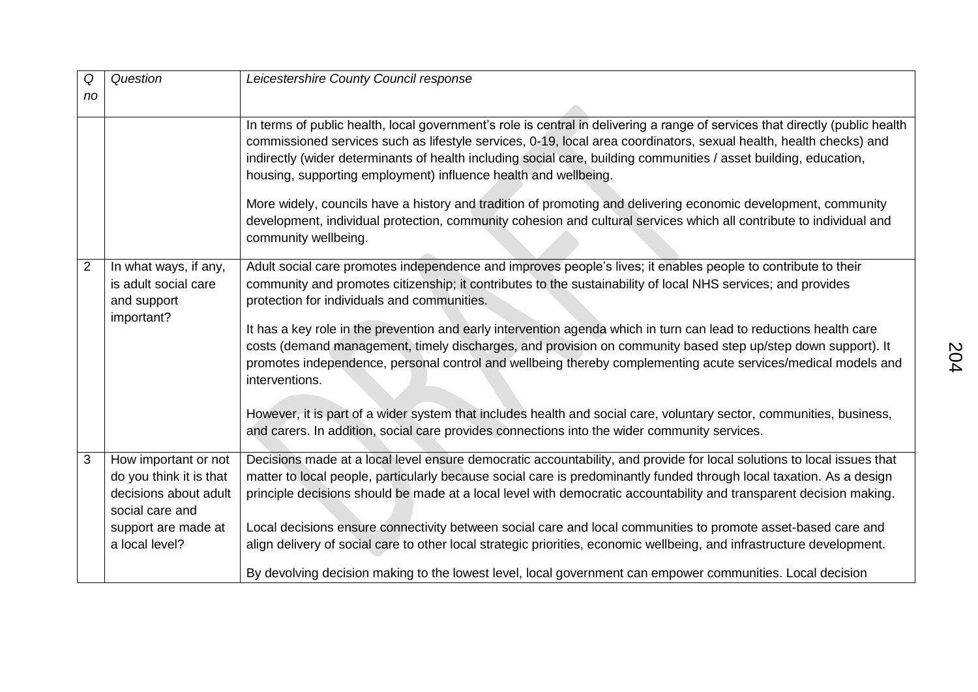| Q              | Question                                                                                                                             | Leicestershire County Council response                                                                                                                                                                                                                                                                                                                                                                                                                                                                                                                                                                                                                                                                                                                                                                                                                                        |
|----------------|--------------------------------------------------------------------------------------------------------------------------------------|-------------------------------------------------------------------------------------------------------------------------------------------------------------------------------------------------------------------------------------------------------------------------------------------------------------------------------------------------------------------------------------------------------------------------------------------------------------------------------------------------------------------------------------------------------------------------------------------------------------------------------------------------------------------------------------------------------------------------------------------------------------------------------------------------------------------------------------------------------------------------------|
| no             |                                                                                                                                      |                                                                                                                                                                                                                                                                                                                                                                                                                                                                                                                                                                                                                                                                                                                                                                                                                                                                               |
|                |                                                                                                                                      | In terms of public health, local government's role is central in delivering a range of services that directly (public health<br>commissioned services such as lifestyle services, 0-19, local area coordinators, sexual health, health checks) and<br>indirectly (wider determinants of health including social care, building communities / asset building, education,<br>housing, supporting employment) influence health and wellbeing.<br>More widely, councils have a history and tradition of promoting and delivering economic development, community<br>development, individual protection, community cohesion and cultural services which all contribute to individual and<br>community wellbeing.                                                                                                                                                                   |
| $\overline{2}$ | In what ways, if any,<br>is adult social care<br>and support<br>important?                                                           | Adult social care promotes independence and improves people's lives; it enables people to contribute to their<br>community and promotes citizenship; it contributes to the sustainability of local NHS services; and provides<br>protection for individuals and communities.<br>It has a key role in the prevention and early intervention agenda which in turn can lead to reductions health care<br>costs (demand management, timely discharges, and provision on community based step up/step down support). It<br>promotes independence, personal control and wellbeing thereby complementing acute services/medical models and<br>interventions.<br>However, it is part of a wider system that includes health and social care, voluntary sector, communities, business,<br>and carers. In addition, social care provides connections into the wider community services. |
| 3              | How important or not<br>do you think it is that<br>decisions about adult<br>social care and<br>support are made at<br>a local level? | Decisions made at a local level ensure democratic accountability, and provide for local solutions to local issues that<br>matter to local people, particularly because social care is predominantly funded through local taxation. As a design<br>principle decisions should be made at a local level with democratic accountability and transparent decision making.<br>Local decisions ensure connectivity between social care and local communities to promote asset-based care and<br>align delivery of social care to other local strategic priorities, economic wellbeing, and infrastructure development.<br>By devolving decision making to the lowest level, local government can empower communities. Local decision                                                                                                                                                |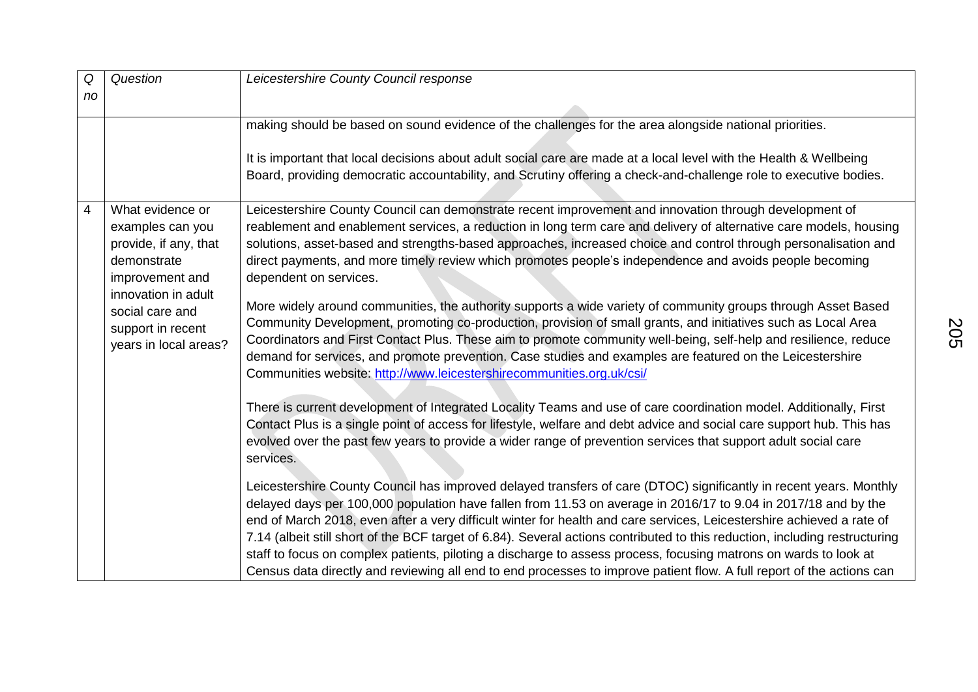| Q<br>no | Question                                                                                                                                                                                | Leicestershire County Council response                                                                                                                                                                                                                                                                                                                                                                                                                                                                                                                                                                                                                                                                                                                                                                                                                                                                                                                                                                                                                                                                                 |
|---------|-----------------------------------------------------------------------------------------------------------------------------------------------------------------------------------------|------------------------------------------------------------------------------------------------------------------------------------------------------------------------------------------------------------------------------------------------------------------------------------------------------------------------------------------------------------------------------------------------------------------------------------------------------------------------------------------------------------------------------------------------------------------------------------------------------------------------------------------------------------------------------------------------------------------------------------------------------------------------------------------------------------------------------------------------------------------------------------------------------------------------------------------------------------------------------------------------------------------------------------------------------------------------------------------------------------------------|
|         |                                                                                                                                                                                         | making should be based on sound evidence of the challenges for the area alongside national priorities.<br>It is important that local decisions about adult social care are made at a local level with the Health & Wellbeing<br>Board, providing democratic accountability, and Scrutiny offering a check-and-challenge role to executive bodies.                                                                                                                                                                                                                                                                                                                                                                                                                                                                                                                                                                                                                                                                                                                                                                      |
| 4       | What evidence or<br>examples can you<br>provide, if any, that<br>demonstrate<br>improvement and<br>innovation in adult<br>social care and<br>support in recent<br>years in local areas? | Leicestershire County Council can demonstrate recent improvement and innovation through development of<br>reablement and enablement services, a reduction in long term care and delivery of alternative care models, housing<br>solutions, asset-based and strengths-based approaches, increased choice and control through personalisation and<br>direct payments, and more timely review which promotes people's independence and avoids people becoming<br>dependent on services.<br>More widely around communities, the authority supports a wide variety of community groups through Asset Based<br>Community Development, promoting co-production, provision of small grants, and initiatives such as Local Area<br>Coordinators and First Contact Plus. These aim to promote community well-being, self-help and resilience, reduce<br>demand for services, and promote prevention. Case studies and examples are featured on the Leicestershire<br>Communities website: http://www.leicestershirecommunities.org.uk/csi/                                                                                       |
|         |                                                                                                                                                                                         | There is current development of Integrated Locality Teams and use of care coordination model. Additionally, First<br>Contact Plus is a single point of access for lifestyle, welfare and debt advice and social care support hub. This has<br>evolved over the past few years to provide a wider range of prevention services that support adult social care<br>services.<br>Leicestershire County Council has improved delayed transfers of care (DTOC) significantly in recent years. Monthly<br>delayed days per 100,000 population have fallen from 11.53 on average in 2016/17 to 9.04 in 2017/18 and by the<br>end of March 2018, even after a very difficult winter for health and care services, Leicestershire achieved a rate of<br>7.14 (albeit still short of the BCF target of 6.84). Several actions contributed to this reduction, including restructuring<br>staff to focus on complex patients, piloting a discharge to assess process, focusing matrons on wards to look at<br>Census data directly and reviewing all end to end processes to improve patient flow. A full report of the actions can |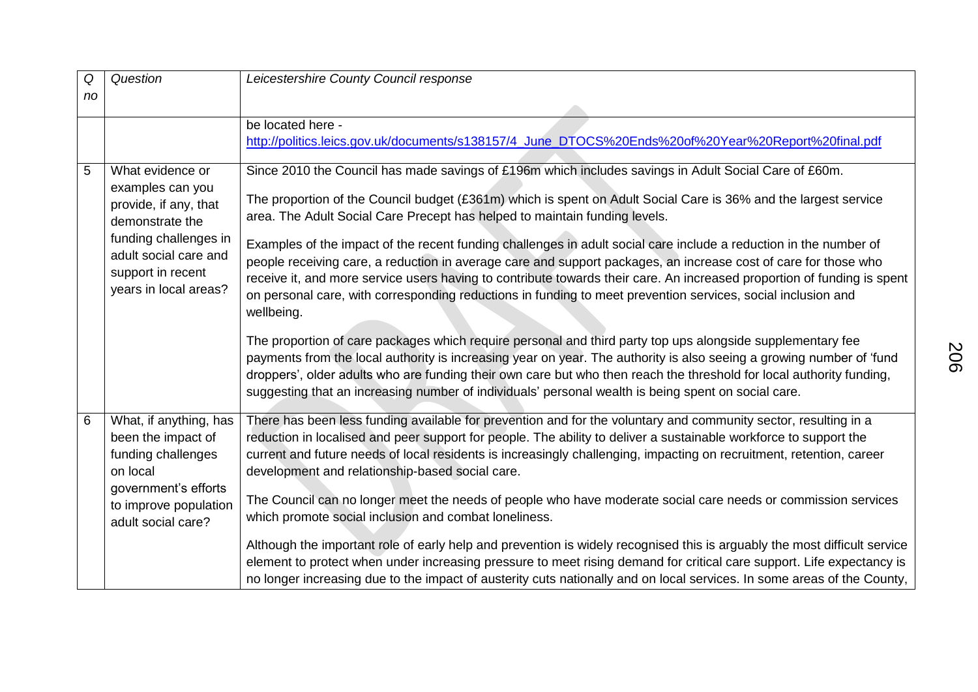| Q  | Question                                                                                                                                                                         | Leicestershire County Council response                                                                                                                                                                                                                                                                                                                                                                                                                                                                                                                                                                                                                                                                                                                                                                  |
|----|----------------------------------------------------------------------------------------------------------------------------------------------------------------------------------|---------------------------------------------------------------------------------------------------------------------------------------------------------------------------------------------------------------------------------------------------------------------------------------------------------------------------------------------------------------------------------------------------------------------------------------------------------------------------------------------------------------------------------------------------------------------------------------------------------------------------------------------------------------------------------------------------------------------------------------------------------------------------------------------------------|
| no |                                                                                                                                                                                  |                                                                                                                                                                                                                                                                                                                                                                                                                                                                                                                                                                                                                                                                                                                                                                                                         |
|    |                                                                                                                                                                                  | be located here -<br>http://politics.leics.gov.uk/documents/s138157/4_June_DTOCS%20Ends%20of%20Year%20Report%20final.pdf                                                                                                                                                                                                                                                                                                                                                                                                                                                                                                                                                                                                                                                                                |
| 5  | What evidence or<br>examples can you<br>provide, if any, that<br>demonstrate the<br>funding challenges in<br>adult social care and<br>support in recent<br>years in local areas? | Since 2010 the Council has made savings of £196m which includes savings in Adult Social Care of £60m.<br>The proportion of the Council budget (£361m) which is spent on Adult Social Care is 36% and the largest service<br>area. The Adult Social Care Precept has helped to maintain funding levels.<br>Examples of the impact of the recent funding challenges in adult social care include a reduction in the number of<br>people receiving care, a reduction in average care and support packages, an increase cost of care for those who<br>receive it, and more service users having to contribute towards their care. An increased proportion of funding is spent<br>on personal care, with corresponding reductions in funding to meet prevention services, social inclusion and<br>wellbeing. |
|    |                                                                                                                                                                                  | The proportion of care packages which require personal and third party top ups alongside supplementary fee<br>payments from the local authority is increasing year on year. The authority is also seeing a growing number of 'fund<br>droppers', older adults who are funding their own care but who then reach the threshold for local authority funding,<br>suggesting that an increasing number of individuals' personal wealth is being spent on social care.                                                                                                                                                                                                                                                                                                                                       |
| 6  | What, if anything, has<br>been the impact of<br>funding challenges<br>on local<br>government's efforts                                                                           | There has been less funding available for prevention and for the voluntary and community sector, resulting in a<br>reduction in localised and peer support for people. The ability to deliver a sustainable workforce to support the<br>current and future needs of local residents is increasingly challenging, impacting on recruitment, retention, career<br>development and relationship-based social care.<br>The Council can no longer meet the needs of people who have moderate social care needs or commission services                                                                                                                                                                                                                                                                        |
|    | to improve population<br>adult social care?                                                                                                                                      | which promote social inclusion and combat loneliness.<br>Although the important role of early help and prevention is widely recognised this is arguably the most difficult service<br>element to protect when under increasing pressure to meet rising demand for critical care support. Life expectancy is<br>no longer increasing due to the impact of austerity cuts nationally and on local services. In some areas of the County,                                                                                                                                                                                                                                                                                                                                                                  |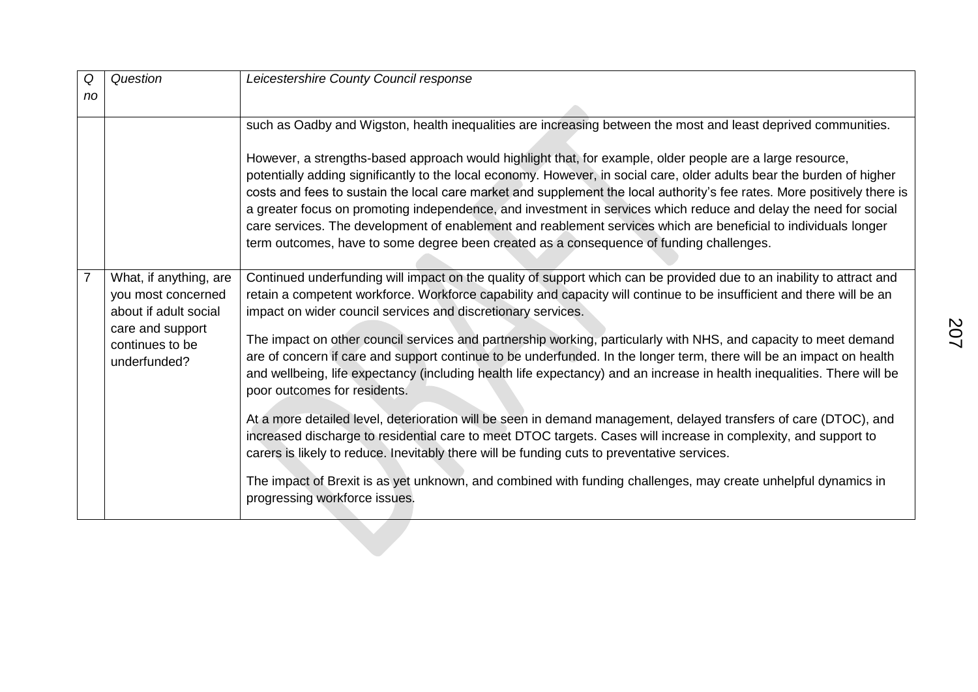| Q              | Question                                                              | Leicestershire County Council response                                                                                                                                                                                                                                                                                                                                                                                                                                                                                                                                                                                                                                                            |
|----------------|-----------------------------------------------------------------------|---------------------------------------------------------------------------------------------------------------------------------------------------------------------------------------------------------------------------------------------------------------------------------------------------------------------------------------------------------------------------------------------------------------------------------------------------------------------------------------------------------------------------------------------------------------------------------------------------------------------------------------------------------------------------------------------------|
| no             |                                                                       |                                                                                                                                                                                                                                                                                                                                                                                                                                                                                                                                                                                                                                                                                                   |
|                |                                                                       | such as Oadby and Wigston, health inequalities are increasing between the most and least deprived communities.                                                                                                                                                                                                                                                                                                                                                                                                                                                                                                                                                                                    |
|                |                                                                       | However, a strengths-based approach would highlight that, for example, older people are a large resource,<br>potentially adding significantly to the local economy. However, in social care, older adults bear the burden of higher<br>costs and fees to sustain the local care market and supplement the local authority's fee rates. More positively there is<br>a greater focus on promoting independence, and investment in services which reduce and delay the need for social<br>care services. The development of enablement and reablement services which are beneficial to individuals longer<br>term outcomes, have to some degree been created as a consequence of funding challenges. |
| $\overline{7}$ | What, if anything, are<br>you most concerned<br>about if adult social | Continued underfunding will impact on the quality of support which can be provided due to an inability to attract and<br>retain a competent workforce. Workforce capability and capacity will continue to be insufficient and there will be an<br>impact on wider council services and discretionary services.                                                                                                                                                                                                                                                                                                                                                                                    |
|                | care and support<br>continues to be<br>underfunded?                   | The impact on other council services and partnership working, particularly with NHS, and capacity to meet demand<br>are of concern if care and support continue to be underfunded. In the longer term, there will be an impact on health<br>and wellbeing, life expectancy (including health life expectancy) and an increase in health inequalities. There will be<br>poor outcomes for residents.                                                                                                                                                                                                                                                                                               |
|                |                                                                       | At a more detailed level, deterioration will be seen in demand management, delayed transfers of care (DTOC), and<br>increased discharge to residential care to meet DTOC targets. Cases will increase in complexity, and support to<br>carers is likely to reduce. Inevitably there will be funding cuts to preventative services.                                                                                                                                                                                                                                                                                                                                                                |
|                |                                                                       | The impact of Brexit is as yet unknown, and combined with funding challenges, may create unhelpful dynamics in<br>progressing workforce issues.                                                                                                                                                                                                                                                                                                                                                                                                                                                                                                                                                   |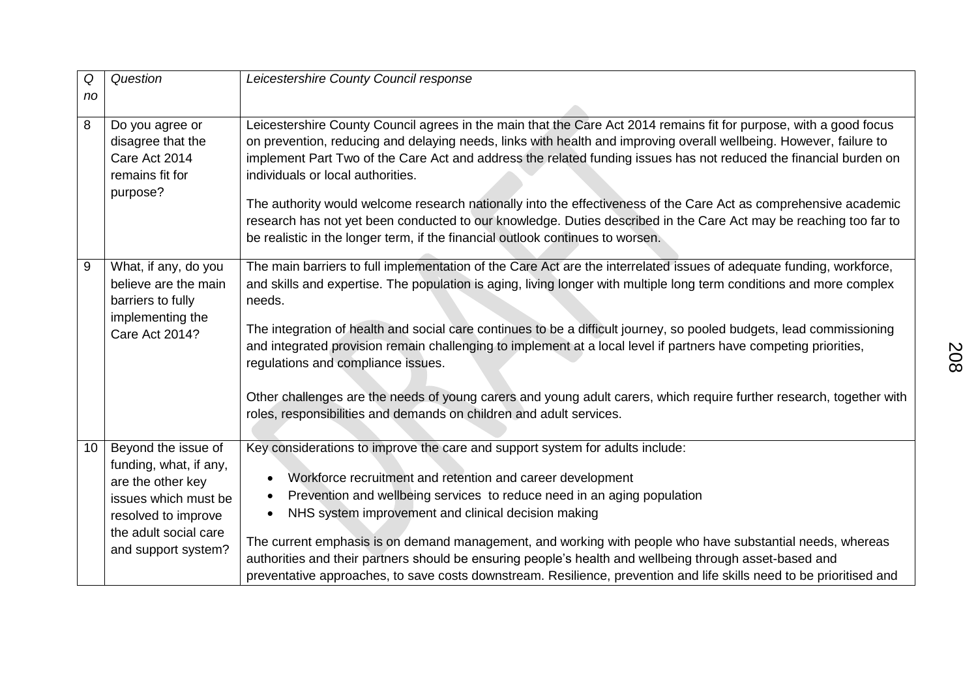| Q<br>no | Question                                                                                                                                                          | Leicestershire County Council response                                                                                                                                                                                                                                                                                                                                                                                                                                                                                                                                                                                                                                                                                                  |
|---------|-------------------------------------------------------------------------------------------------------------------------------------------------------------------|-----------------------------------------------------------------------------------------------------------------------------------------------------------------------------------------------------------------------------------------------------------------------------------------------------------------------------------------------------------------------------------------------------------------------------------------------------------------------------------------------------------------------------------------------------------------------------------------------------------------------------------------------------------------------------------------------------------------------------------------|
| 8       | Do you agree or<br>disagree that the<br>Care Act 2014<br>remains fit for<br>purpose?                                                                              | Leicestershire County Council agrees in the main that the Care Act 2014 remains fit for purpose, with a good focus<br>on prevention, reducing and delaying needs, links with health and improving overall wellbeing. However, failure to<br>implement Part Two of the Care Act and address the related funding issues has not reduced the financial burden on<br>individuals or local authorities.<br>The authority would welcome research nationally into the effectiveness of the Care Act as comprehensive academic<br>research has not yet been conducted to our knowledge. Duties described in the Care Act may be reaching too far to<br>be realistic in the longer term, if the financial outlook continues to worsen.           |
| 9       | What, if any, do you<br>believe are the main<br>barriers to fully<br>implementing the<br><b>Care Act 2014?</b>                                                    | The main barriers to full implementation of the Care Act are the interrelated issues of adequate funding, workforce,<br>and skills and expertise. The population is aging, living longer with multiple long term conditions and more complex<br>needs.<br>The integration of health and social care continues to be a difficult journey, so pooled budgets, lead commissioning<br>and integrated provision remain challenging to implement at a local level if partners have competing priorities,<br>regulations and compliance issues.<br>Other challenges are the needs of young carers and young adult carers, which require further research, together with<br>roles, responsibilities and demands on children and adult services. |
| 10      | Beyond the issue of<br>funding, what, if any,<br>are the other key<br>issues which must be<br>resolved to improve<br>the adult social care<br>and support system? | Key considerations to improve the care and support system for adults include:<br>Workforce recruitment and retention and career development<br>$\bullet$<br>Prevention and wellbeing services to reduce need in an aging population<br>NHS system improvement and clinical decision making<br>$\bullet$<br>The current emphasis is on demand management, and working with people who have substantial needs, whereas<br>authorities and their partners should be ensuring people's health and wellbeing through asset-based and<br>preventative approaches, to save costs downstream. Resilience, prevention and life skills need to be prioritised and                                                                                 |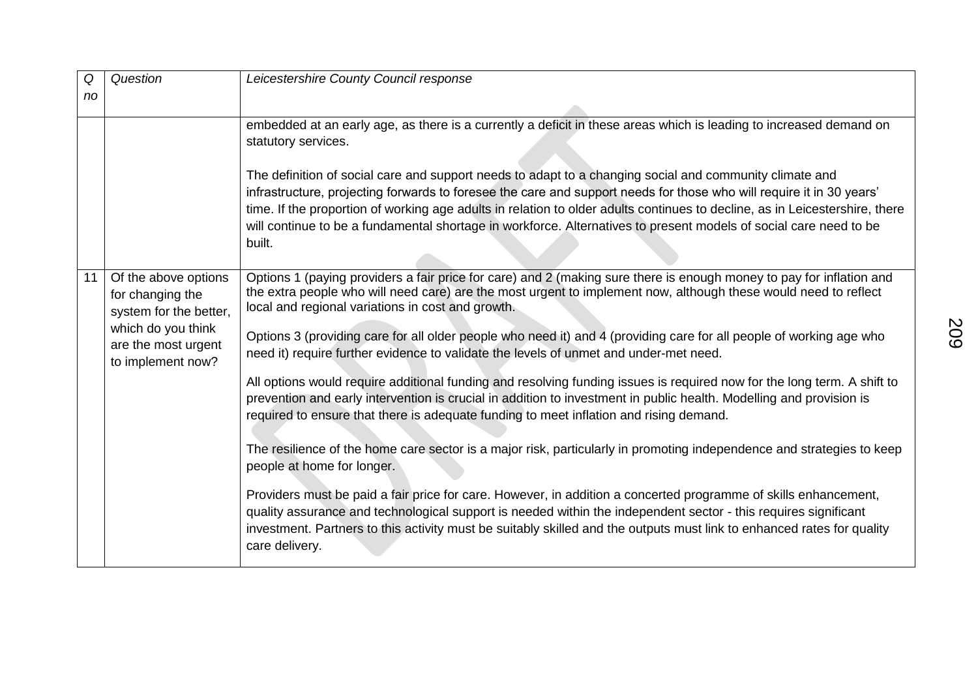| Q  | Question                                                           | Leicestershire County Council response                                                                                                                                                                                                                                                                                                                                                                                                                                                        |
|----|--------------------------------------------------------------------|-----------------------------------------------------------------------------------------------------------------------------------------------------------------------------------------------------------------------------------------------------------------------------------------------------------------------------------------------------------------------------------------------------------------------------------------------------------------------------------------------|
| no |                                                                    |                                                                                                                                                                                                                                                                                                                                                                                                                                                                                               |
|    |                                                                    | embedded at an early age, as there is a currently a deficit in these areas which is leading to increased demand on                                                                                                                                                                                                                                                                                                                                                                            |
|    |                                                                    | statutory services.                                                                                                                                                                                                                                                                                                                                                                                                                                                                           |
|    |                                                                    | The definition of social care and support needs to adapt to a changing social and community climate and<br>infrastructure, projecting forwards to foresee the care and support needs for those who will require it in 30 years'<br>time. If the proportion of working age adults in relation to older adults continues to decline, as in Leicestershire, there<br>will continue to be a fundamental shortage in workforce. Alternatives to present models of social care need to be<br>built. |
| 11 | Of the above options<br>for changing the<br>system for the better, | Options 1 (paying providers a fair price for care) and 2 (making sure there is enough money to pay for inflation and<br>the extra people who will need care) are the most urgent to implement now, although these would need to reflect<br>local and regional variations in cost and growth.                                                                                                                                                                                                  |
|    | which do you think<br>are the most urgent<br>to implement now?     | Options 3 (providing care for all older people who need it) and 4 (providing care for all people of working age who<br>need it) require further evidence to validate the levels of unmet and under-met need.                                                                                                                                                                                                                                                                                  |
|    |                                                                    | All options would require additional funding and resolving funding issues is required now for the long term. A shift to<br>prevention and early intervention is crucial in addition to investment in public health. Modelling and provision is<br>required to ensure that there is adequate funding to meet inflation and rising demand.                                                                                                                                                      |
|    |                                                                    | The resilience of the home care sector is a major risk, particularly in promoting independence and strategies to keep<br>people at home for longer.                                                                                                                                                                                                                                                                                                                                           |
|    |                                                                    | Providers must be paid a fair price for care. However, in addition a concerted programme of skills enhancement,<br>quality assurance and technological support is needed within the independent sector - this requires significant<br>investment. Partners to this activity must be suitably skilled and the outputs must link to enhanced rates for quality<br>care delivery.                                                                                                                |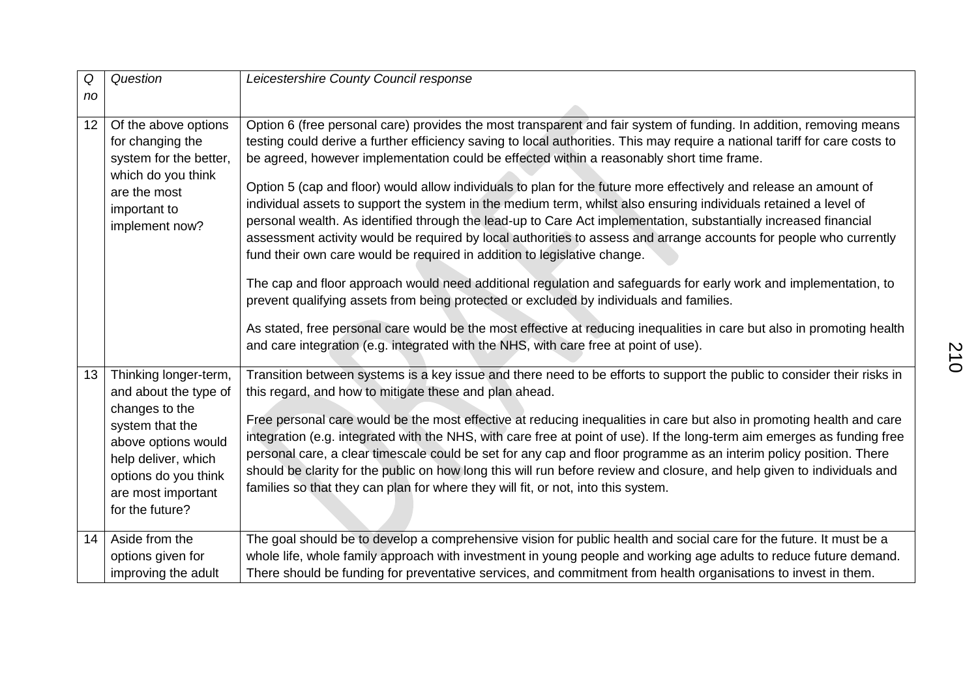| Q  | Question                                                                                                                                         | Leicestershire County Council response                                                                                                                                                                                                                                                                                                                                                                                                                                                                                                                                                  |
|----|--------------------------------------------------------------------------------------------------------------------------------------------------|-----------------------------------------------------------------------------------------------------------------------------------------------------------------------------------------------------------------------------------------------------------------------------------------------------------------------------------------------------------------------------------------------------------------------------------------------------------------------------------------------------------------------------------------------------------------------------------------|
| no |                                                                                                                                                  |                                                                                                                                                                                                                                                                                                                                                                                                                                                                                                                                                                                         |
| 12 | Of the above options<br>for changing the<br>system for the better,<br>which do you think                                                         | Option 6 (free personal care) provides the most transparent and fair system of funding. In addition, removing means<br>testing could derive a further efficiency saving to local authorities. This may require a national tariff for care costs to<br>be agreed, however implementation could be effected within a reasonably short time frame.                                                                                                                                                                                                                                         |
|    | are the most<br>important to<br>implement now?                                                                                                   | Option 5 (cap and floor) would allow individuals to plan for the future more effectively and release an amount of<br>individual assets to support the system in the medium term, whilst also ensuring individuals retained a level of<br>personal wealth. As identified through the lead-up to Care Act implementation, substantially increased financial<br>assessment activity would be required by local authorities to assess and arrange accounts for people who currently<br>fund their own care would be required in addition to legislative change.                             |
|    |                                                                                                                                                  | The cap and floor approach would need additional regulation and safeguards for early work and implementation, to<br>prevent qualifying assets from being protected or excluded by individuals and families.                                                                                                                                                                                                                                                                                                                                                                             |
|    |                                                                                                                                                  | As stated, free personal care would be the most effective at reducing inequalities in care but also in promoting health<br>and care integration (e.g. integrated with the NHS, with care free at point of use).                                                                                                                                                                                                                                                                                                                                                                         |
| 13 | Thinking longer-term,<br>and about the type of                                                                                                   | Transition between systems is a key issue and there need to be efforts to support the public to consider their risks in<br>this regard, and how to mitigate these and plan ahead.                                                                                                                                                                                                                                                                                                                                                                                                       |
|    | changes to the<br>system that the<br>above options would<br>help deliver, which<br>options do you think<br>are most important<br>for the future? | Free personal care would be the most effective at reducing inequalities in care but also in promoting health and care<br>integration (e.g. integrated with the NHS, with care free at point of use). If the long-term aim emerges as funding free<br>personal care, a clear timescale could be set for any cap and floor programme as an interim policy position. There<br>should be clarity for the public on how long this will run before review and closure, and help given to individuals and<br>families so that they can plan for where they will fit, or not, into this system. |
| 14 | Aside from the                                                                                                                                   | The goal should be to develop a comprehensive vision for public health and social care for the future. It must be a                                                                                                                                                                                                                                                                                                                                                                                                                                                                     |
|    | options given for<br>improving the adult                                                                                                         | whole life, whole family approach with investment in young people and working age adults to reduce future demand.<br>There should be funding for preventative services, and commitment from health organisations to invest in them.                                                                                                                                                                                                                                                                                                                                                     |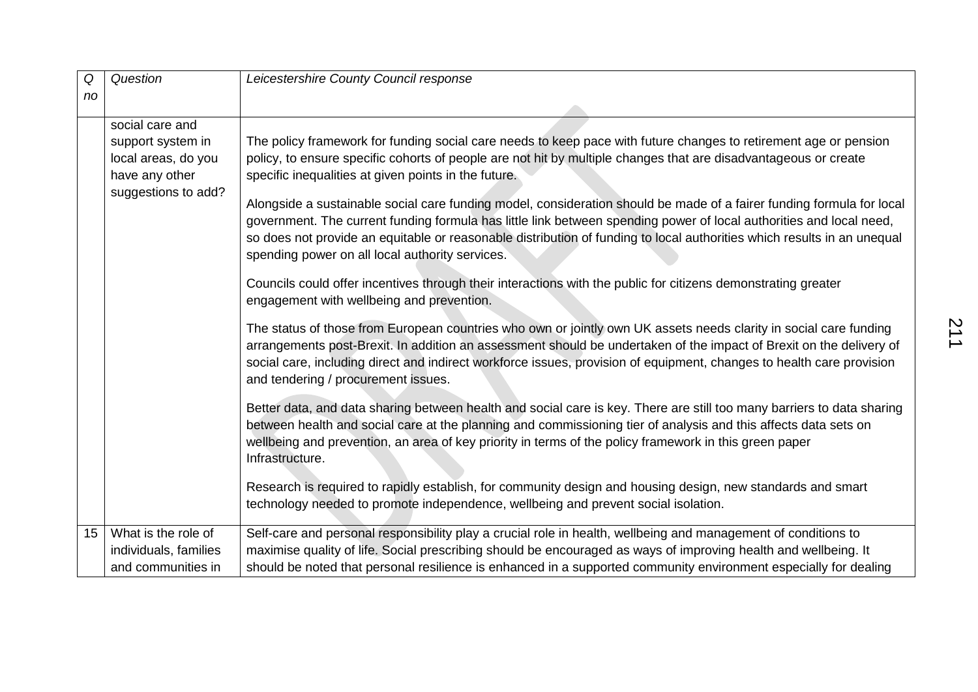| Q<br>no | Question                              | Leicestershire County Council response                                                                                                                                                                                                                                                                                                                                                                                     |
|---------|---------------------------------------|----------------------------------------------------------------------------------------------------------------------------------------------------------------------------------------------------------------------------------------------------------------------------------------------------------------------------------------------------------------------------------------------------------------------------|
|         |                                       |                                                                                                                                                                                                                                                                                                                                                                                                                            |
|         | social care and                       |                                                                                                                                                                                                                                                                                                                                                                                                                            |
|         | support system in                     | The policy framework for funding social care needs to keep pace with future changes to retirement age or pension                                                                                                                                                                                                                                                                                                           |
|         | local areas, do you                   | policy, to ensure specific cohorts of people are not hit by multiple changes that are disadvantageous or create                                                                                                                                                                                                                                                                                                            |
|         | have any other<br>suggestions to add? | specific inequalities at given points in the future.                                                                                                                                                                                                                                                                                                                                                                       |
|         |                                       | Alongside a sustainable social care funding model, consideration should be made of a fairer funding formula for local<br>government. The current funding formula has little link between spending power of local authorities and local need,<br>so does not provide an equitable or reasonable distribution of funding to local authorities which results in an unequal<br>spending power on all local authority services. |
|         |                                       | Councils could offer incentives through their interactions with the public for citizens demonstrating greater<br>engagement with wellbeing and prevention.                                                                                                                                                                                                                                                                 |
|         |                                       | The status of those from European countries who own or jointly own UK assets needs clarity in social care funding<br>arrangements post-Brexit. In addition an assessment should be undertaken of the impact of Brexit on the delivery of<br>social care, including direct and indirect workforce issues, provision of equipment, changes to health care provision<br>and tendering / procurement issues.                   |
|         |                                       | Better data, and data sharing between health and social care is key. There are still too many barriers to data sharing<br>between health and social care at the planning and commissioning tier of analysis and this affects data sets on<br>wellbeing and prevention, an area of key priority in terms of the policy framework in this green paper<br>Infrastructure.                                                     |
|         |                                       | Research is required to rapidly establish, for community design and housing design, new standards and smart                                                                                                                                                                                                                                                                                                                |
|         |                                       | technology needed to promote independence, wellbeing and prevent social isolation.                                                                                                                                                                                                                                                                                                                                         |
| 15      | What is the role of                   | Self-care and personal responsibility play a crucial role in health, wellbeing and management of conditions to                                                                                                                                                                                                                                                                                                             |
|         | individuals, families                 | maximise quality of life. Social prescribing should be encouraged as ways of improving health and wellbeing. It                                                                                                                                                                                                                                                                                                            |
|         | and communities in                    | should be noted that personal resilience is enhanced in a supported community environment especially for dealing                                                                                                                                                                                                                                                                                                           |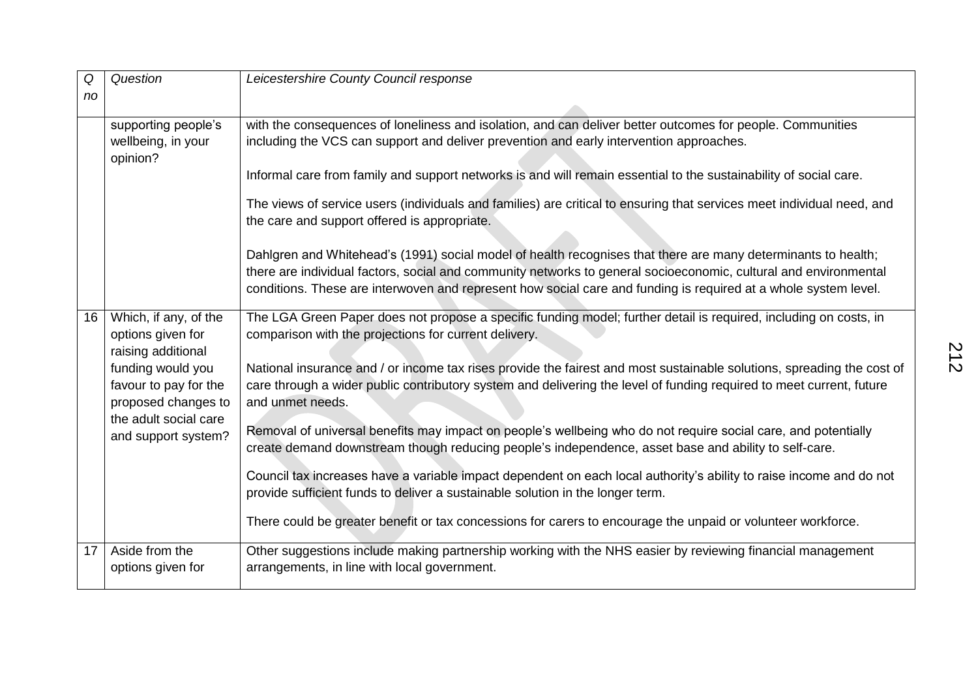| Q<br>no         | Question                                                          | Leicestershire County Council response                                                                                                                                                                                                                                                                                                               |
|-----------------|-------------------------------------------------------------------|------------------------------------------------------------------------------------------------------------------------------------------------------------------------------------------------------------------------------------------------------------------------------------------------------------------------------------------------------|
|                 | supporting people's<br>wellbeing, in your<br>opinion?             | with the consequences of loneliness and isolation, and can deliver better outcomes for people. Communities<br>including the VCS can support and deliver prevention and early intervention approaches.                                                                                                                                                |
|                 |                                                                   | Informal care from family and support networks is and will remain essential to the sustainability of social care.                                                                                                                                                                                                                                    |
|                 |                                                                   | The views of service users (individuals and families) are critical to ensuring that services meet individual need, and<br>the care and support offered is appropriate.                                                                                                                                                                               |
|                 |                                                                   | Dahlgren and Whitehead's (1991) social model of health recognises that there are many determinants to health;<br>there are individual factors, social and community networks to general socioeconomic, cultural and environmental<br>conditions. These are interwoven and represent how social care and funding is required at a whole system level. |
| 16 <sup>1</sup> | Which, if any, of the<br>options given for<br>raising additional  | The LGA Green Paper does not propose a specific funding model; further detail is required, including on costs, in<br>comparison with the projections for current delivery.                                                                                                                                                                           |
|                 | funding would you<br>favour to pay for the<br>proposed changes to | National insurance and / or income tax rises provide the fairest and most sustainable solutions, spreading the cost of<br>care through a wider public contributory system and delivering the level of funding required to meet current, future<br>and unmet needs.                                                                                   |
|                 | the adult social care<br>and support system?                      | Removal of universal benefits may impact on people's wellbeing who do not require social care, and potentially<br>create demand downstream though reducing people's independence, asset base and ability to self-care.                                                                                                                               |
|                 |                                                                   | Council tax increases have a variable impact dependent on each local authority's ability to raise income and do not<br>provide sufficient funds to deliver a sustainable solution in the longer term.                                                                                                                                                |
|                 |                                                                   | There could be greater benefit or tax concessions for carers to encourage the unpaid or volunteer workforce.                                                                                                                                                                                                                                         |
| 17 <sup>1</sup> | Aside from the<br>options given for                               | Other suggestions include making partnership working with the NHS easier by reviewing financial management<br>arrangements, in line with local government.                                                                                                                                                                                           |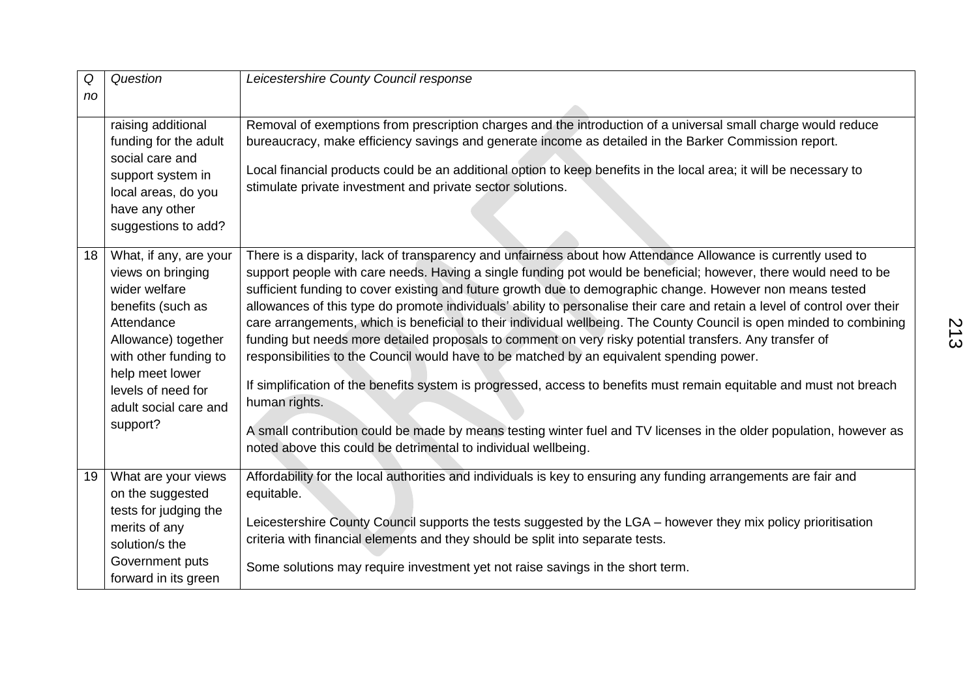| Q  | Question                                                                                                                                                                                                                      | Leicestershire County Council response                                                                                                                                                                                                                                                                                                                                                                                                                                                                                                                                                                                                                                                                                                                                                                                                                                                                                                                                                                                                                                                                                                          |
|----|-------------------------------------------------------------------------------------------------------------------------------------------------------------------------------------------------------------------------------|-------------------------------------------------------------------------------------------------------------------------------------------------------------------------------------------------------------------------------------------------------------------------------------------------------------------------------------------------------------------------------------------------------------------------------------------------------------------------------------------------------------------------------------------------------------------------------------------------------------------------------------------------------------------------------------------------------------------------------------------------------------------------------------------------------------------------------------------------------------------------------------------------------------------------------------------------------------------------------------------------------------------------------------------------------------------------------------------------------------------------------------------------|
| no |                                                                                                                                                                                                                               |                                                                                                                                                                                                                                                                                                                                                                                                                                                                                                                                                                                                                                                                                                                                                                                                                                                                                                                                                                                                                                                                                                                                                 |
|    | raising additional<br>funding for the adult<br>social care and<br>support system in<br>local areas, do you<br>have any other<br>suggestions to add?                                                                           | Removal of exemptions from prescription charges and the introduction of a universal small charge would reduce<br>bureaucracy, make efficiency savings and generate income as detailed in the Barker Commission report.<br>Local financial products could be an additional option to keep benefits in the local area; it will be necessary to<br>stimulate private investment and private sector solutions.                                                                                                                                                                                                                                                                                                                                                                                                                                                                                                                                                                                                                                                                                                                                      |
| 18 | What, if any, are your<br>views on bringing<br>wider welfare<br>benefits (such as<br>Attendance<br>Allowance) together<br>with other funding to<br>help meet lower<br>levels of need for<br>adult social care and<br>support? | There is a disparity, lack of transparency and unfairness about how Attendance Allowance is currently used to<br>support people with care needs. Having a single funding pot would be beneficial; however, there would need to be<br>sufficient funding to cover existing and future growth due to demographic change. However non means tested<br>allowances of this type do promote individuals' ability to personalise their care and retain a level of control over their<br>care arrangements, which is beneficial to their individual wellbeing. The County Council is open minded to combining<br>funding but needs more detailed proposals to comment on very risky potential transfers. Any transfer of<br>responsibilities to the Council would have to be matched by an equivalent spending power.<br>If simplification of the benefits system is progressed, access to benefits must remain equitable and must not breach<br>human rights.<br>A small contribution could be made by means testing winter fuel and TV licenses in the older population, however as<br>noted above this could be detrimental to individual wellbeing. |
| 19 | What are your views<br>on the suggested<br>tests for judging the<br>merits of any<br>solution/s the<br>Government puts<br>forward in its green                                                                                | Affordability for the local authorities and individuals is key to ensuring any funding arrangements are fair and<br>equitable.<br>Leicestershire County Council supports the tests suggested by the LGA - however they mix policy prioritisation<br>criteria with financial elements and they should be split into separate tests.<br>Some solutions may require investment yet not raise savings in the short term.                                                                                                                                                                                                                                                                                                                                                                                                                                                                                                                                                                                                                                                                                                                            |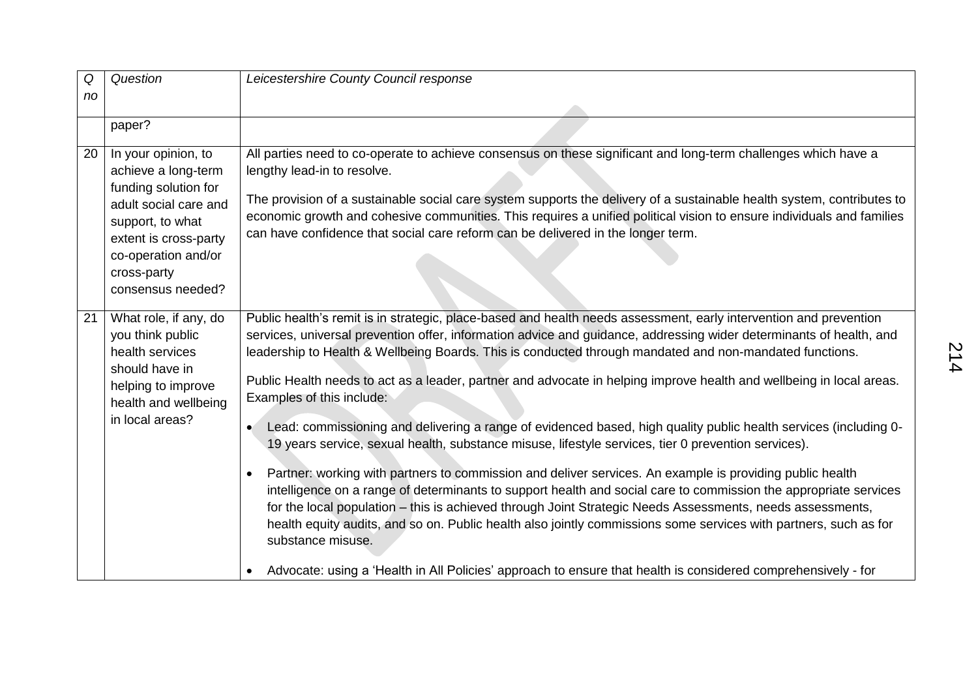| Q  | Question                                                                                                                                                                                            | Leicestershire County Council response                                                                                                                                                                                                                                                                                                                                                                                                                                                                                                                                                                                                                                                                                                                                                                                                                                                                                                                                                                                                                                                                                                                                                                                                                                                                                                                                            |
|----|-----------------------------------------------------------------------------------------------------------------------------------------------------------------------------------------------------|-----------------------------------------------------------------------------------------------------------------------------------------------------------------------------------------------------------------------------------------------------------------------------------------------------------------------------------------------------------------------------------------------------------------------------------------------------------------------------------------------------------------------------------------------------------------------------------------------------------------------------------------------------------------------------------------------------------------------------------------------------------------------------------------------------------------------------------------------------------------------------------------------------------------------------------------------------------------------------------------------------------------------------------------------------------------------------------------------------------------------------------------------------------------------------------------------------------------------------------------------------------------------------------------------------------------------------------------------------------------------------------|
| no |                                                                                                                                                                                                     |                                                                                                                                                                                                                                                                                                                                                                                                                                                                                                                                                                                                                                                                                                                                                                                                                                                                                                                                                                                                                                                                                                                                                                                                                                                                                                                                                                                   |
|    | paper?                                                                                                                                                                                              |                                                                                                                                                                                                                                                                                                                                                                                                                                                                                                                                                                                                                                                                                                                                                                                                                                                                                                                                                                                                                                                                                                                                                                                                                                                                                                                                                                                   |
| 20 | In your opinion, to<br>achieve a long-term<br>funding solution for<br>adult social care and<br>support, to what<br>extent is cross-party<br>co-operation and/or<br>cross-party<br>consensus needed? | All parties need to co-operate to achieve consensus on these significant and long-term challenges which have a<br>lengthy lead-in to resolve.<br>The provision of a sustainable social care system supports the delivery of a sustainable health system, contributes to<br>economic growth and cohesive communities. This requires a unified political vision to ensure individuals and families<br>can have confidence that social care reform can be delivered in the longer term.                                                                                                                                                                                                                                                                                                                                                                                                                                                                                                                                                                                                                                                                                                                                                                                                                                                                                              |
| 21 | What role, if any, do<br>you think public<br>health services<br>should have in<br>helping to improve<br>health and wellbeing<br>in local areas?                                                     | Public health's remit is in strategic, place-based and health needs assessment, early intervention and prevention<br>services, universal prevention offer, information advice and guidance, addressing wider determinants of health, and<br>leadership to Health & Wellbeing Boards. This is conducted through mandated and non-mandated functions.<br>Public Health needs to act as a leader, partner and advocate in helping improve health and wellbeing in local areas.<br>Examples of this include:<br>Lead: commissioning and delivering a range of evidenced based, high quality public health services (including 0-<br>$\bullet$<br>19 years service, sexual health, substance misuse, lifestyle services, tier 0 prevention services).<br>Partner: working with partners to commission and deliver services. An example is providing public health<br>$\bullet$<br>intelligence on a range of determinants to support health and social care to commission the appropriate services<br>for the local population - this is achieved through Joint Strategic Needs Assessments, needs assessments,<br>health equity audits, and so on. Public health also jointly commissions some services with partners, such as for<br>substance misuse.<br>Advocate: using a 'Health in All Policies' approach to ensure that health is considered comprehensively - for<br>$\bullet$ |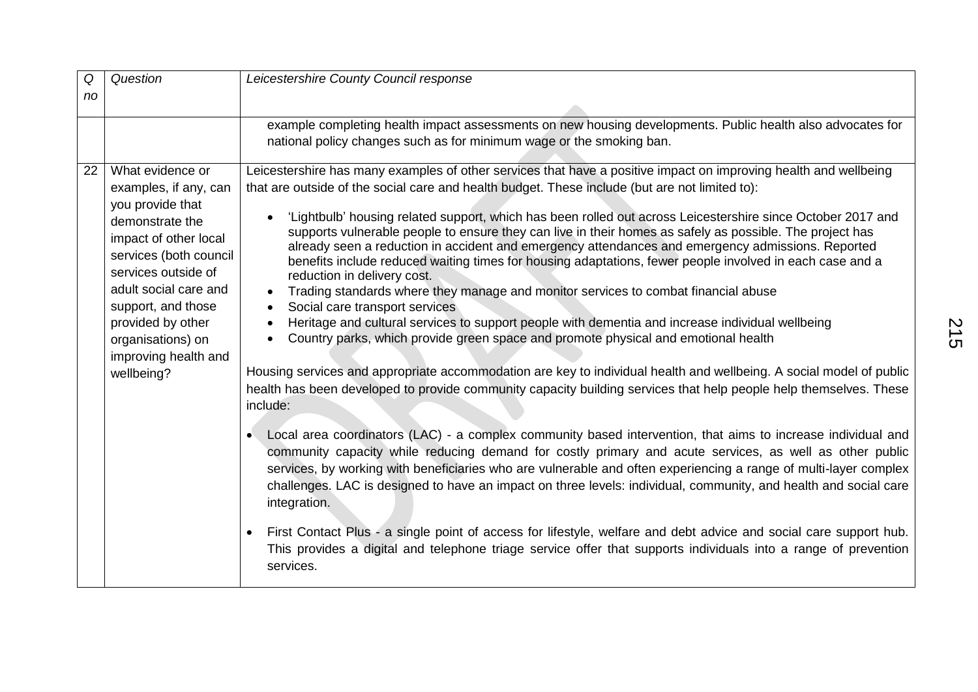| Q  | Question                                                                                                                                                                                                                                                                                  | Leicestershire County Council response                                                                                                                                                                                                                                                                                                                                                                                                                                                                                                                                                                                                                                                                                                                                                                                                                                                                                                                                                                                                                                                                                                                                                                                                                                                                                                                                                                                                                                                                                                                                                                                                                                                                                                                                                                                                                                                                                                                                                                                                                 |
|----|-------------------------------------------------------------------------------------------------------------------------------------------------------------------------------------------------------------------------------------------------------------------------------------------|--------------------------------------------------------------------------------------------------------------------------------------------------------------------------------------------------------------------------------------------------------------------------------------------------------------------------------------------------------------------------------------------------------------------------------------------------------------------------------------------------------------------------------------------------------------------------------------------------------------------------------------------------------------------------------------------------------------------------------------------------------------------------------------------------------------------------------------------------------------------------------------------------------------------------------------------------------------------------------------------------------------------------------------------------------------------------------------------------------------------------------------------------------------------------------------------------------------------------------------------------------------------------------------------------------------------------------------------------------------------------------------------------------------------------------------------------------------------------------------------------------------------------------------------------------------------------------------------------------------------------------------------------------------------------------------------------------------------------------------------------------------------------------------------------------------------------------------------------------------------------------------------------------------------------------------------------------------------------------------------------------------------------------------------------------|
| no |                                                                                                                                                                                                                                                                                           |                                                                                                                                                                                                                                                                                                                                                                                                                                                                                                                                                                                                                                                                                                                                                                                                                                                                                                                                                                                                                                                                                                                                                                                                                                                                                                                                                                                                                                                                                                                                                                                                                                                                                                                                                                                                                                                                                                                                                                                                                                                        |
|    |                                                                                                                                                                                                                                                                                           | example completing health impact assessments on new housing developments. Public health also advocates for<br>national policy changes such as for minimum wage or the smoking ban.                                                                                                                                                                                                                                                                                                                                                                                                                                                                                                                                                                                                                                                                                                                                                                                                                                                                                                                                                                                                                                                                                                                                                                                                                                                                                                                                                                                                                                                                                                                                                                                                                                                                                                                                                                                                                                                                     |
| 22 | What evidence or<br>examples, if any, can<br>you provide that<br>demonstrate the<br>impact of other local<br>services (both council<br>services outside of<br>adult social care and<br>support, and those<br>provided by other<br>organisations) on<br>improving health and<br>wellbeing? | Leicestershire has many examples of other services that have a positive impact on improving health and wellbeing<br>that are outside of the social care and health budget. These include (but are not limited to):<br>'Lightbulb' housing related support, which has been rolled out across Leicestershire since October 2017 and<br>$\bullet$<br>supports vulnerable people to ensure they can live in their homes as safely as possible. The project has<br>already seen a reduction in accident and emergency attendances and emergency admissions. Reported<br>benefits include reduced waiting times for housing adaptations, fewer people involved in each case and a<br>reduction in delivery cost.<br>Trading standards where they manage and monitor services to combat financial abuse<br>Social care transport services<br>Heritage and cultural services to support people with dementia and increase individual wellbeing<br>Country parks, which provide green space and promote physical and emotional health<br>Housing services and appropriate accommodation are key to individual health and wellbeing. A social model of public<br>health has been developed to provide community capacity building services that help people help themselves. These<br>include:<br>Local area coordinators (LAC) - a complex community based intervention, that aims to increase individual and<br>$\bullet$<br>community capacity while reducing demand for costly primary and acute services, as well as other public<br>services, by working with beneficiaries who are vulnerable and often experiencing a range of multi-layer complex<br>challenges. LAC is designed to have an impact on three levels: individual, community, and health and social care<br>integration.<br>First Contact Plus - a single point of access for lifestyle, welfare and debt advice and social care support hub.<br>$\bullet$<br>This provides a digital and telephone triage service offer that supports individuals into a range of prevention<br>services. |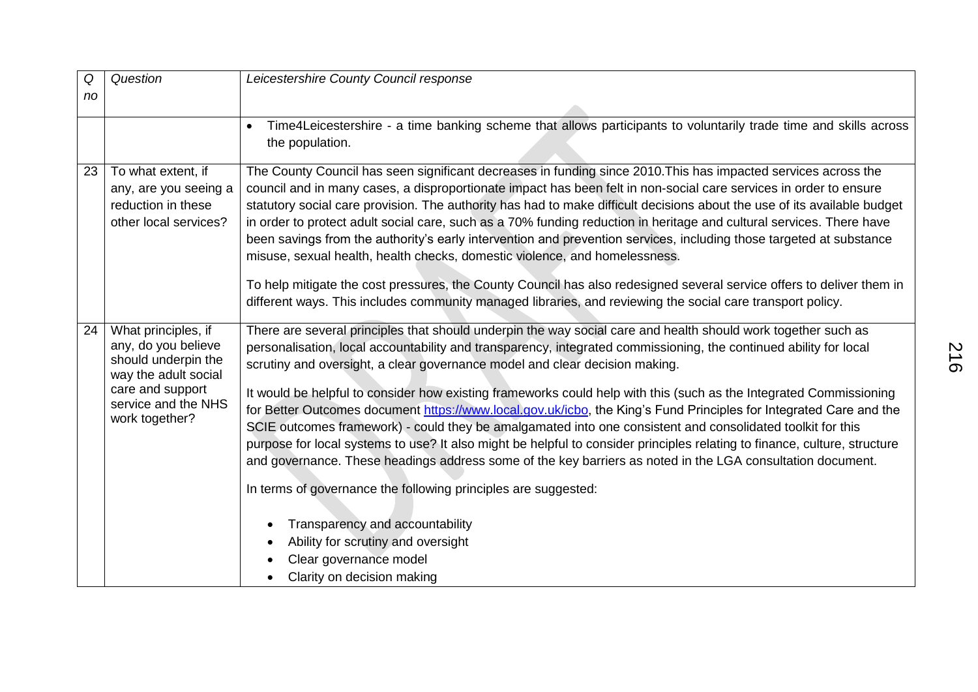| Q  | Question                                                                                                                                               | Leicestershire County Council response                                                                                                                                                                                                                                                                                                                                                                                                                                                                                                                                                                                                                                                                                                                                                                                |
|----|--------------------------------------------------------------------------------------------------------------------------------------------------------|-----------------------------------------------------------------------------------------------------------------------------------------------------------------------------------------------------------------------------------------------------------------------------------------------------------------------------------------------------------------------------------------------------------------------------------------------------------------------------------------------------------------------------------------------------------------------------------------------------------------------------------------------------------------------------------------------------------------------------------------------------------------------------------------------------------------------|
| no |                                                                                                                                                        |                                                                                                                                                                                                                                                                                                                                                                                                                                                                                                                                                                                                                                                                                                                                                                                                                       |
|    |                                                                                                                                                        | Time4Leicestershire - a time banking scheme that allows participants to voluntarily trade time and skills across<br>$\bullet$<br>the population.                                                                                                                                                                                                                                                                                                                                                                                                                                                                                                                                                                                                                                                                      |
| 23 | To what extent, if<br>any, are you seeing a<br>reduction in these<br>other local services?                                                             | The County Council has seen significant decreases in funding since 2010. This has impacted services across the<br>council and in many cases, a disproportionate impact has been felt in non-social care services in order to ensure<br>statutory social care provision. The authority has had to make difficult decisions about the use of its available budget<br>in order to protect adult social care, such as a 70% funding reduction in heritage and cultural services. There have<br>been savings from the authority's early intervention and prevention services, including those targeted at substance<br>misuse, sexual health, health checks, domestic violence, and homelessness.<br>To help mitigate the cost pressures, the County Council has also redesigned several service offers to deliver them in |
|    |                                                                                                                                                        | different ways. This includes community managed libraries, and reviewing the social care transport policy.                                                                                                                                                                                                                                                                                                                                                                                                                                                                                                                                                                                                                                                                                                            |
| 24 | What principles, if<br>any, do you believe<br>should underpin the<br>way the adult social<br>care and support<br>service and the NHS<br>work together? | There are several principles that should underpin the way social care and health should work together such as<br>personalisation, local accountability and transparency, integrated commissioning, the continued ability for local<br>scrutiny and oversight, a clear governance model and clear decision making.                                                                                                                                                                                                                                                                                                                                                                                                                                                                                                     |
|    |                                                                                                                                                        | It would be helpful to consider how existing frameworks could help with this (such as the Integrated Commissioning<br>for Better Outcomes document https://www.local.gov.uk/icbo, the King's Fund Principles for Integrated Care and the<br>SCIE outcomes framework) - could they be amalgamated into one consistent and consolidated toolkit for this<br>purpose for local systems to use? It also might be helpful to consider principles relating to finance, culture, structure<br>and governance. These headings address some of the key barriers as noted in the LGA consultation document.                                                                                                                                                                                                                     |
|    |                                                                                                                                                        | In terms of governance the following principles are suggested:                                                                                                                                                                                                                                                                                                                                                                                                                                                                                                                                                                                                                                                                                                                                                        |
|    |                                                                                                                                                        | Transparency and accountability<br>Ability for scrutiny and oversight<br>$\bullet$<br>Clear governance model                                                                                                                                                                                                                                                                                                                                                                                                                                                                                                                                                                                                                                                                                                          |
|    |                                                                                                                                                        | Clarity on decision making                                                                                                                                                                                                                                                                                                                                                                                                                                                                                                                                                                                                                                                                                                                                                                                            |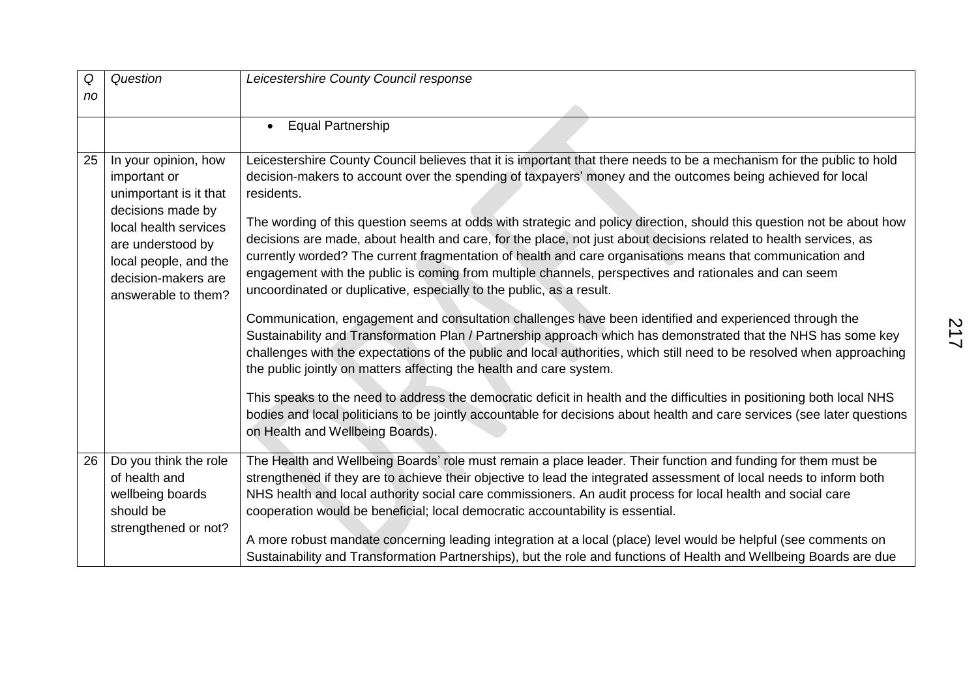| Q  | Question                                                                                                                                                                                                 | Leicestershire County Council response                                                                                                                                                                                                                                                                                                                                                                                                                                                                                                                                                                                                                                                                                                                                                        |
|----|----------------------------------------------------------------------------------------------------------------------------------------------------------------------------------------------------------|-----------------------------------------------------------------------------------------------------------------------------------------------------------------------------------------------------------------------------------------------------------------------------------------------------------------------------------------------------------------------------------------------------------------------------------------------------------------------------------------------------------------------------------------------------------------------------------------------------------------------------------------------------------------------------------------------------------------------------------------------------------------------------------------------|
| no |                                                                                                                                                                                                          |                                                                                                                                                                                                                                                                                                                                                                                                                                                                                                                                                                                                                                                                                                                                                                                               |
|    |                                                                                                                                                                                                          | <b>Equal Partnership</b><br>$\bullet$                                                                                                                                                                                                                                                                                                                                                                                                                                                                                                                                                                                                                                                                                                                                                         |
| 25 | In your opinion, how<br>important or<br>unimportant is it that<br>decisions made by<br>local health services<br>are understood by<br>local people, and the<br>decision-makers are<br>answerable to them? | Leicestershire County Council believes that it is important that there needs to be a mechanism for the public to hold<br>decision-makers to account over the spending of taxpayers' money and the outcomes being achieved for local<br>residents.<br>The wording of this question seems at odds with strategic and policy direction, should this question not be about how<br>decisions are made, about health and care, for the place, not just about decisions related to health services, as<br>currently worded? The current fragmentation of health and care organisations means that communication and<br>engagement with the public is coming from multiple channels, perspectives and rationales and can seem<br>uncoordinated or duplicative, especially to the public, as a result. |
|    |                                                                                                                                                                                                          | Communication, engagement and consultation challenges have been identified and experienced through the<br>Sustainability and Transformation Plan / Partnership approach which has demonstrated that the NHS has some key<br>challenges with the expectations of the public and local authorities, which still need to be resolved when approaching<br>the public jointly on matters affecting the health and care system.<br>This speaks to the need to address the democratic deficit in health and the difficulties in positioning both local NHS                                                                                                                                                                                                                                           |
|    |                                                                                                                                                                                                          | bodies and local politicians to be jointly accountable for decisions about health and care services (see later questions<br>on Health and Wellbeing Boards).                                                                                                                                                                                                                                                                                                                                                                                                                                                                                                                                                                                                                                  |
| 26 | Do you think the role<br>of health and<br>wellbeing boards<br>should be<br>strengthened or not?                                                                                                          | The Health and Wellbeing Boards' role must remain a place leader. Their function and funding for them must be<br>strengthened if they are to achieve their objective to lead the integrated assessment of local needs to inform both<br>NHS health and local authority social care commissioners. An audit process for local health and social care<br>cooperation would be beneficial; local democratic accountability is essential.                                                                                                                                                                                                                                                                                                                                                         |
|    |                                                                                                                                                                                                          | A more robust mandate concerning leading integration at a local (place) level would be helpful (see comments on<br>Sustainability and Transformation Partnerships), but the role and functions of Health and Wellbeing Boards are due                                                                                                                                                                                                                                                                                                                                                                                                                                                                                                                                                         |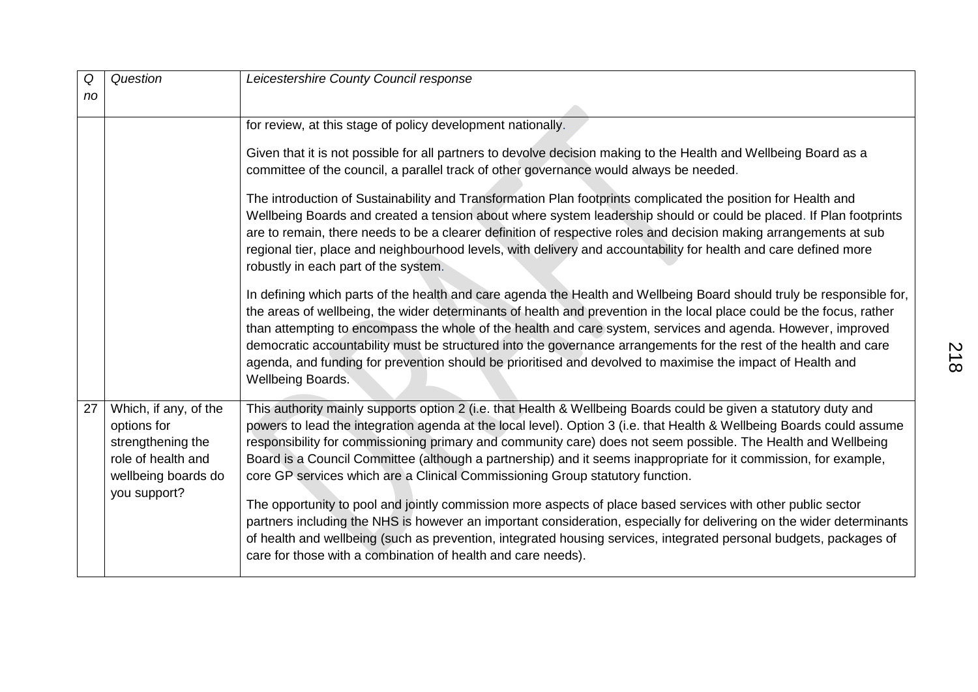| Q  | Question                                                                                               | Leicestershire County Council response                                                                                                                                                                                                                                                                                                                                                                                                                                                                                                                                                                                        |
|----|--------------------------------------------------------------------------------------------------------|-------------------------------------------------------------------------------------------------------------------------------------------------------------------------------------------------------------------------------------------------------------------------------------------------------------------------------------------------------------------------------------------------------------------------------------------------------------------------------------------------------------------------------------------------------------------------------------------------------------------------------|
| no |                                                                                                        |                                                                                                                                                                                                                                                                                                                                                                                                                                                                                                                                                                                                                               |
|    |                                                                                                        | for review, at this stage of policy development nationally.                                                                                                                                                                                                                                                                                                                                                                                                                                                                                                                                                                   |
|    |                                                                                                        | Given that it is not possible for all partners to devolve decision making to the Health and Wellbeing Board as a<br>committee of the council, a parallel track of other governance would always be needed.                                                                                                                                                                                                                                                                                                                                                                                                                    |
|    |                                                                                                        | The introduction of Sustainability and Transformation Plan footprints complicated the position for Health and<br>Wellbeing Boards and created a tension about where system leadership should or could be placed. If Plan footprints<br>are to remain, there needs to be a clearer definition of respective roles and decision making arrangements at sub<br>regional tier, place and neighbourhood levels, with delivery and accountability for health and care defined more<br>robustly in each part of the system.                                                                                                          |
|    |                                                                                                        | In defining which parts of the health and care agenda the Health and Wellbeing Board should truly be responsible for,<br>the areas of wellbeing, the wider determinants of health and prevention in the local place could be the focus, rather<br>than attempting to encompass the whole of the health and care system, services and agenda. However, improved<br>democratic accountability must be structured into the governance arrangements for the rest of the health and care<br>agenda, and funding for prevention should be prioritised and devolved to maximise the impact of Health and<br><b>Wellbeing Boards.</b> |
| 27 | Which, if any, of the<br>options for<br>strengthening the<br>role of health and<br>wellbeing boards do | This authority mainly supports option 2 (i.e. that Health & Wellbeing Boards could be given a statutory duty and<br>powers to lead the integration agenda at the local level). Option 3 (i.e. that Health & Wellbeing Boards could assume<br>responsibility for commissioning primary and community care) does not seem possible. The Health and Wellbeing<br>Board is a Council Committee (although a partnership) and it seems inappropriate for it commission, for example,<br>core GP services which are a Clinical Commissioning Group statutory function.                                                               |
|    | you support?                                                                                           | The opportunity to pool and jointly commission more aspects of place based services with other public sector<br>partners including the NHS is however an important consideration, especially for delivering on the wider determinants<br>of health and wellbeing (such as prevention, integrated housing services, integrated personal budgets, packages of<br>care for those with a combination of health and care needs).                                                                                                                                                                                                   |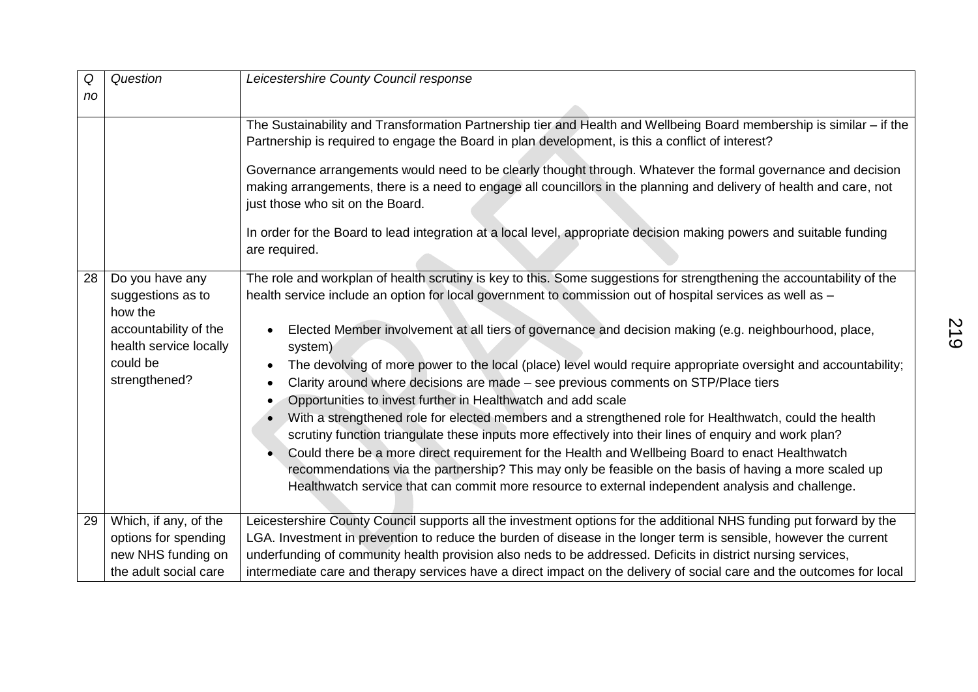| Q  | Question                                                                                                                        | Leicestershire County Council response                                                                                                                                                                                                                                                                                                                                                                                                                                                                                                                                                                                                                                                                                                                                                                                                                                                                                                                                                                                                                                                                                                                                             |
|----|---------------------------------------------------------------------------------------------------------------------------------|------------------------------------------------------------------------------------------------------------------------------------------------------------------------------------------------------------------------------------------------------------------------------------------------------------------------------------------------------------------------------------------------------------------------------------------------------------------------------------------------------------------------------------------------------------------------------------------------------------------------------------------------------------------------------------------------------------------------------------------------------------------------------------------------------------------------------------------------------------------------------------------------------------------------------------------------------------------------------------------------------------------------------------------------------------------------------------------------------------------------------------------------------------------------------------|
| no |                                                                                                                                 |                                                                                                                                                                                                                                                                                                                                                                                                                                                                                                                                                                                                                                                                                                                                                                                                                                                                                                                                                                                                                                                                                                                                                                                    |
|    |                                                                                                                                 | The Sustainability and Transformation Partnership tier and Health and Wellbeing Board membership is similar - if the<br>Partnership is required to engage the Board in plan development, is this a conflict of interest?<br>Governance arrangements would need to be clearly thought through. Whatever the formal governance and decision<br>making arrangements, there is a need to engage all councillors in the planning and delivery of health and care, not<br>just those who sit on the Board.<br>In order for the Board to lead integration at a local level, appropriate decision making powers and suitable funding<br>are required.                                                                                                                                                                                                                                                                                                                                                                                                                                                                                                                                      |
| 28 | Do you have any<br>suggestions as to<br>how the<br>accountability of the<br>health service locally<br>could be<br>strengthened? | The role and workplan of health scrutiny is key to this. Some suggestions for strengthening the accountability of the<br>health service include an option for local government to commission out of hospital services as well as -<br>Elected Member involvement at all tiers of governance and decision making (e.g. neighbourhood, place,<br>system)<br>The devolving of more power to the local (place) level would require appropriate oversight and accountability;<br>Clarity around where decisions are made - see previous comments on STP/Place tiers<br>Opportunities to invest further in Healthwatch and add scale<br>$\bullet$<br>With a strengthened role for elected members and a strengthened role for Healthwatch, could the health<br>scrutiny function triangulate these inputs more effectively into their lines of enquiry and work plan?<br>Could there be a more direct requirement for the Health and Wellbeing Board to enact Healthwatch<br>recommendations via the partnership? This may only be feasible on the basis of having a more scaled up<br>Healthwatch service that can commit more resource to external independent analysis and challenge. |
| 29 | Which, if any, of the<br>options for spending<br>new NHS funding on<br>the adult social care                                    | Leicestershire County Council supports all the investment options for the additional NHS funding put forward by the<br>LGA. Investment in prevention to reduce the burden of disease in the longer term is sensible, however the current<br>underfunding of community health provision also neds to be addressed. Deficits in district nursing services,<br>intermediate care and therapy services have a direct impact on the delivery of social care and the outcomes for local                                                                                                                                                                                                                                                                                                                                                                                                                                                                                                                                                                                                                                                                                                  |